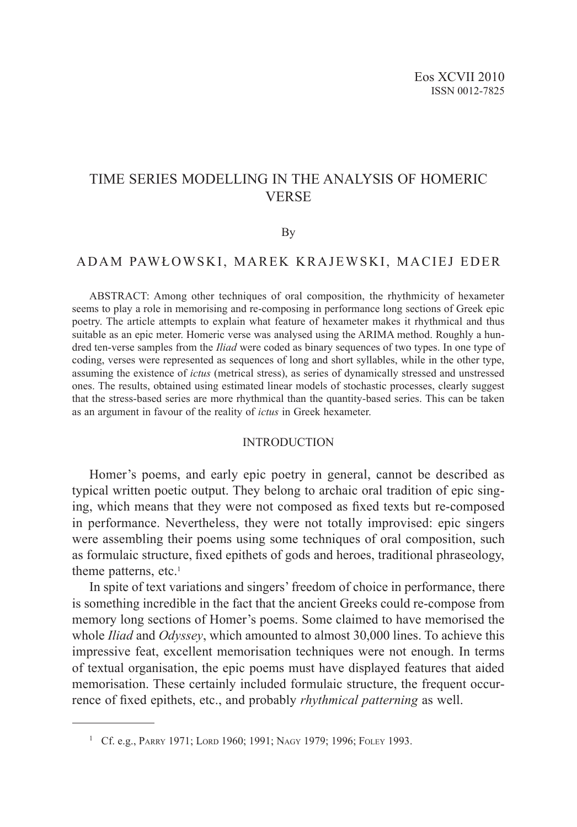# TIME SERIES MODELLING IN THE ANALYSIS OF HOMERIC VERSE

#### By

# ADAM PAWŁOWSKI, MAREK KRAJEWSKI, MACIEJ EDER

ABSTRACT: Among other techniques of oral composition, the rhythmicity of hexameter seems to play a role in memorising and re-composing in performance long sections of Greek epic poetry. The article attempts to explain what feature of hexameter makes it rhythmical and thus suitable as an epic meter. Homeric verse was analysed using the ARIMA method. Roughly a hundred ten-verse samples from the *Iliad* were coded as binary sequences of two types. In one type of coding, verses were represented as sequences of long and short syllables, while in the other type, assuming the existence of *ictus* (metrical stress), as series of dynamically stressed and unstressed ones. The results, obtained using estimated linear models of stochastic processes, clearly suggest that the stress-based series are more rhythmical than the quantity-based series. This can be taken as an argument in favour of the reality of *ictus* in Greek hexameter.

#### INTRODUCTION

Homer's poems, and early epic poetry in general, cannot be described as typical written poetic output. They belong to archaic oral tradition of epic singing, which means that they were not composed as fixed texts but re-composed in performance. Nevertheless, they were not totally improvised: epic singers were assembling their poems using some techniques of oral composition, such as formulaic structure, fixed epithets of gods and heroes, traditional phraseology, theme patterns, etc.<sup>1</sup>

In spite of text variations and singers' freedom of choice in performance, there is something incredible in the fact that the ancient Greeks could re-compose from memory long sections of Homer's poems. Some claimed to have memorised the whole *Iliad* and *Odyssey*, which amounted to almost 30,000 lines. To achieve this impressive feat, excellent memorisation techniques were not enough. In terms of textual organisation, the epic poems must have displayed features that aided memorisation. These certainly included formulaic structure, the frequent occurrence of fixed epithets, etc., and probably *rhythmical patterning* as well.

<sup>&</sup>lt;sup>1</sup> Cf. e.g., PARRY 1971; LORD 1960; 1991; NAGY 1979; 1996; FOLEY 1993.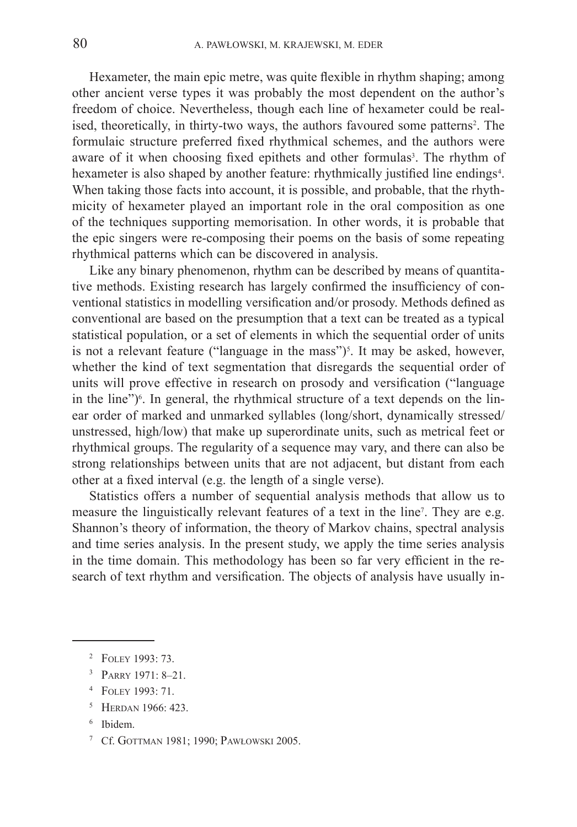Hexameter, the main epic metre, was quite flexible in rhythm shaping; among other ancient verse types it was probably the most dependent on the author's freedom of choice. Nevertheless, though each line of hexameter could be realised, theoretically, in thirty-two ways, the authors favoured some patterns<sup>2</sup>. The formulaic structure preferred fixed rhythmical schemes, and the authors were aware of it when choosing fixed epithets and other formulas<sup>3</sup>. The rhythm of hexameter is also shaped by another feature: rhythmically justified line endings<sup>4</sup>. When taking those facts into account, it is possible, and probable, that the rhythmicity of hexameter played an important role in the oral composition as one of the techniques supporting memorisation. In other words, it is probable that the epic singers were re-composing their poems on the basis of some repeating rhythmical patterns which can be discovered in analysis.

Like any binary phenomenon, rhythm can be described by means of quantitative methods. Existing research has largely confirmed the insufficiency of conventional statistics in modelling versification and/or prosody. Methods defined as conventional are based on the presumption that a text can be treated as a typical statistical population, or a set of elements in which the sequential order of units is not a relevant feature ("language in the mass")<sup>5</sup>. It may be asked, however, whether the kind of text segmentation that disregards the sequential order of units will prove effective in research on prosody and versification ("language in the line")<sup>6</sup>. In general, the rhythmical structure of a text depends on the linear order of marked and unmarked syllables (long/short, dynamically stressed/ unstressed, high/low) that make up superordinate units, such as metrical feet or rhythmical groups. The regularity of a sequence may vary, and there can also be strong relationships between units that are not adjacent, but distant from each other at a fixed interval (e.g. the length of a single verse).

Statistics offers a number of sequential analysis methods that allow us to measure the linguistically relevant features of a text in the line<sup>7</sup>. They are e.g. Shannon's theory of information, the theory of Markov chains, spectral analysis and time series analysis. In the present study, we apply the time series analysis in the time domain. This methodology has been so far very efficient in the research of text rhythm and versification. The objects of analysis have usually in-

- <sup>3</sup> Parry 1971: 8–21.
- <sup>4</sup> Foley 1993: 71.
- <sup>5</sup> HERDAN 1966: 423.
- <sup>6</sup> Ibidem.
- <sup>7</sup> Cf. Gottman 1981; 1990; Pawłowski 2005.

<sup>2</sup> Foley 1993: 73.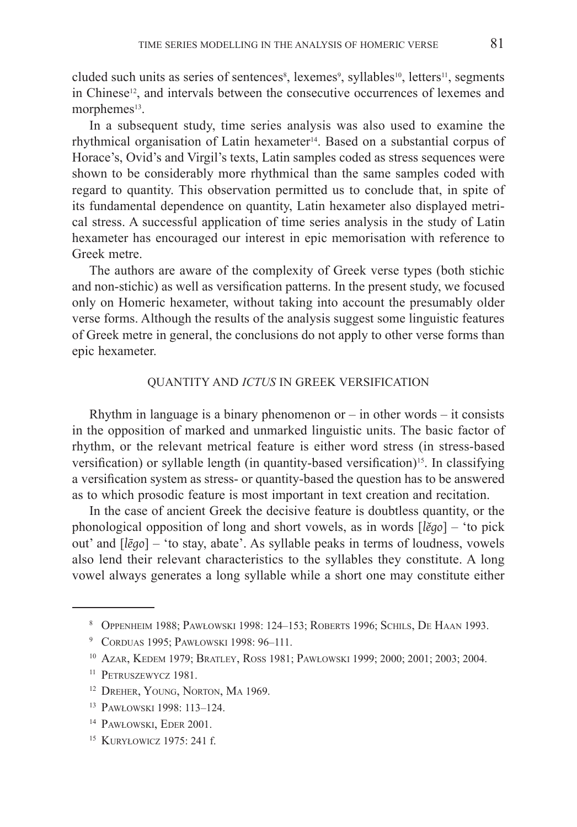cluded such units as series of sentences<sup>8</sup>, lexemes<sup>9</sup>, syllables<sup>10</sup>, letters<sup>11</sup>, segments in Chinese<sup>12</sup>, and intervals between the consecutive occurrences of lexemes and morphemes<sup>13</sup>.

In a subsequent study, time series analysis was also used to examine the rhythmical organisation of Latin hexameter<sup>14</sup>. Based on a substantial corpus of Horace's, Ovid's and Virgil's texts, Latin samples coded as stress sequences were shown to be considerably more rhythmical than the same samples coded with regard to quantity. This observation permitted us to conclude that, in spite of its fundamental dependence on quantity, Latin hexameter also displayed metrical stress. A successful application of time series analysis in the study of Latin hexameter has encouraged our interest in epic memorisation with reference to Greek metre.

The authors are aware of the complexity of Greek verse types (both stichic and non-stichic) as well as versification patterns. In the present study, we focused only on Homeric hexameter, without taking into account the presumably older verse forms. Although the results of the analysis suggest some linguistic features of Greek metre in general, the conclusions do not apply to other verse forms than epic hexameter.

## QUANTITY AND *ICTUS* IN GREEK VERSIFICATION

Rhythm in language is a binary phenomenon or  $-$  in other words  $-$  it consists in the opposition of marked and unmarked linguistic units. The basic factor of rhythm, or the relevant metrical feature is either word stress (in stress-based versification) or syllable length (in quantity-based versification)<sup>15</sup>. In classifying a  versification system as stress- or quantity-based the question has to be answered as to which prosodic feature is most important in text creation and recitation.

In the case of ancient Greek the decisive feature is doubtless quantity, or the phonological opposition of long and short vowels, as in words [*lĕgo*] – 'to pick out' and [*lēgo*] – 'to stay, abate'. As syllable peaks in terms of loudness, vowels also lend their relevant characteristics to the syllables they constitute. A long vowel always generates a long syllable while a short one may constitute either

<sup>8</sup> Oppenheim 1988; Pawłowski 1998: 124–153; Roberts 1996; Schils, De Haan 1993.

<sup>9</sup> Corduas 1995; Pawłowski 1998: 96–111.

<sup>10</sup> Azar, Kedem 1979; Bratley, Ross 1981; Pawłowski 1999; 2000; 2001; 2003; 2004.

<sup>&</sup>lt;sup>11</sup> PETRUSZEWYCZ 1981.

<sup>12</sup> Dreher, Young, Norton, Ma 1969.

<sup>13</sup> Pawłowski 1998: 113–124.

<sup>&</sup>lt;sup>14</sup> PAWŁOWSKI, EDER 2001.

<sup>15</sup> Kuryłowicz 1975: 241 f.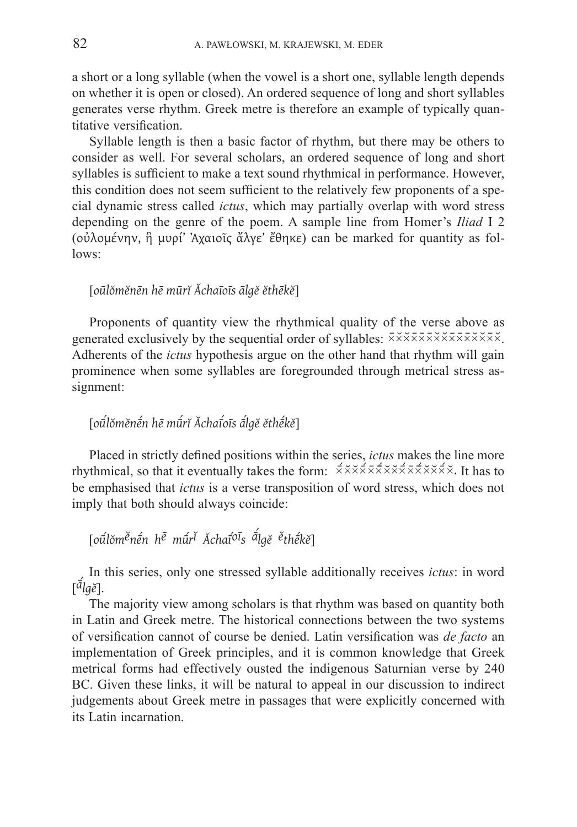a  short or a long syllable (when the vowel is a short one, syllable length depends on whether it is open or closed). An ordered sequence of long and short syllables generates verse rhythm. Greek metre is therefore an example of typically quantitative versification.

Syllable length is then a basic factor of rhythm, but there may be others to consider as well. For several scholars, an ordered sequence of long and short syllables is sufficient to make a text sound rhythmical in performance. However, this condition does not seem sufficient to the relatively few proponents of a  special dynamic stress called *ictus*, which may partially overlap with word stress depending on the genre of the poem. A sample line from Homer's *Iliad* I 2 (οὐλομένην, ἣ   μυρί' Ἀχαιοῖς ἄλγε' ἔθηκε) can be marked for quantity as follows:

## [*oūlŏmĕnēn hē mūrĭ Ăchaīoīs ālgĕ ĕthēkĕ*]

Proponents of quantity view the rhythmical quality of the verse above as generated exclusively by the sequential order of syllables:  $\overline{x} \times \overline{x} \times \overline{x} \times \overline{x} \times \overline{x} \times \overline{x} \times \overline{x} \times \overline{x}$ . Adherents of the *ictus* hypothesis argue on the other hand that rhythm will gain prominence when some syllables are foregrounded through metrical stress assignment:

# [*oūˊlŏmĕnḗn hē mūˊrĭ Ăchaī ˊ oīs āˊ lgĕ ĕthḗkĕ*]

Placed in strictly defined positions within the series, *ictus* makes the line more rhythmical, so that it eventually takes the form:  $\vec{\times} \times \vec{\times} \times \vec{\times} \times \vec{\times} \times \vec{\times} \times \vec{\times} \times \vec{\times}$ . It has to be emphasised that *ictus* is a verse transposition of word stress, which does not imply that both should always coincide:

# [*oūˊlŏmĕnḗn hē mūˊrĭ Ăchaī ˊoīs āˊ lgĕ ĕthḗkĕ*]

In this series, only one stressed syllable additionally receives *ictus*: in word [*āˊ lgĕ*].

The majority view among scholars is that rhythm was based on quantity both in Latin and Greek metre. The historical connections between the two systems of versification cannot of course be denied. Latin versification was *de facto* an implementation of Greek principles, and it is common knowledge that Greek metrical forms had effectively ousted the indigenous Saturnian verse by 240 BC. Given these links, it will be natural to appeal in our discussion to indirect judgements about Greek metre in passages that were explicitly concerned with its Latin incarnation.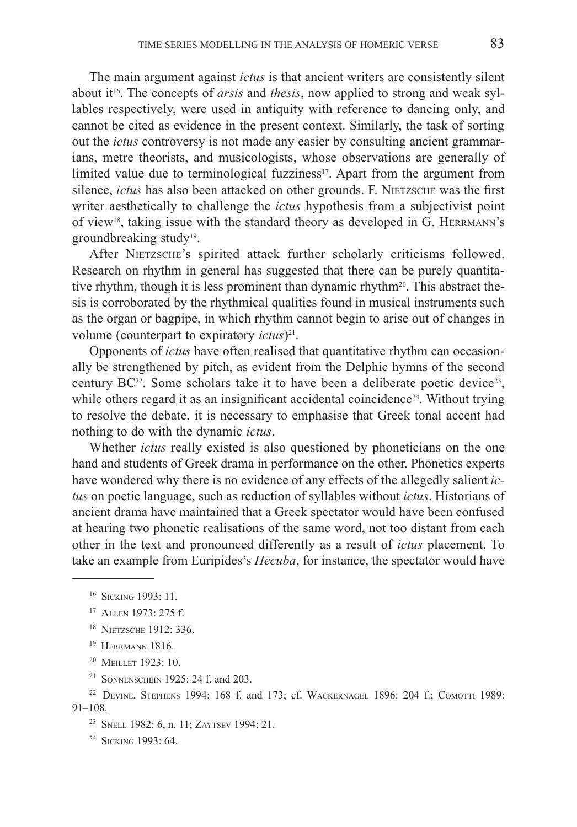The main argument against *ictus* is that ancient writers are consistently silent about it<sup>16</sup>. The concepts of *arsis* and *thesis*, now applied to strong and weak syllables respectively, were used in antiquity with reference to dancing only, and cannot be cited as evidence in the present context. Similarly, the task of sorting out the *ictus* controversy is not made any easier by consulting ancient grammarians, metre theorists, and musicologists, whose observations are generally of limited value due to terminological fuzziness<sup>17</sup>. Apart from the argument from silence, *ictus* has also been attacked on other grounds. F. NIETZSCHE was the first writer aesthetically to challenge the *ictus* hypothesis from a subjectivist point of view<sup>18</sup>, taking issue with the standard theory as developed in G. HERRMANN's groundbreaking study<sup>19</sup>.

After NIETZSCHE's spirited attack further scholarly criticisms followed. Research on rhythm in general has suggested that there can be purely quantitative rhythm, though it is less prominent than dynamic rhythm<sup>20</sup>. This abstract thesis is corroborated by the rhythmical qualities found in musical instruments such as the organ or bagpipe, in which rhythm cannot begin to arise out of changes in volume (counterpart to expiratory *ictus*)<sup>21</sup>.

Opponents of *ictus* have often realised that quantitative rhythm can occasionally be strengthened by pitch, as evident from the Delphic hymns of the second century  $BC^{22}$ . Some scholars take it to have been a deliberate poetic device<sup>23</sup>, while others regard it as an insignificant accidental coincidence<sup>24</sup>. Without trying to resolve the debate, it is necessary to emphasise that Greek tonal accent had nothing to do with the dynamic *ictus*.

Whether *ictus* really existed is also questioned by phoneticians on the one hand and students of Greek drama in performance on the other. Phonetics experts have wondered why there is no evidence of any effects of the allegedly salient *ictus* on poetic language, such as reduction of syllables without *ictus*. Historians of ancient drama have maintained that a Greek spectator would have been confused at hearing two phonetic realisations of the same word, not too distant from each other in the text and pronounced differently as a result of *ictus* placement. To take an example from Euripides's *Hecuba*, for instance, the spectator would have

- <sup>18</sup> Nietzsche 1912: 336.
- <sup>19</sup> HERRMANN 1816.
- <sup>20</sup> MEILLET 1923: 10.
- <sup>21</sup> Sonnenschein 1925: 24 f. and 203.

<sup>16</sup> Sicking 1993: 11.

<sup>17</sup> Allen 1973: 275 f.

<sup>22</sup> Devine, Stephens 1994: 168 f. and 173; cf. Wackernagel 1896: 204 f.; Comotti 1989: 91–108.

<sup>23</sup> Snell 1982: 6, n. 11; Zaytsev 1994: 21.

<sup>24</sup> Sicking 1993: 64.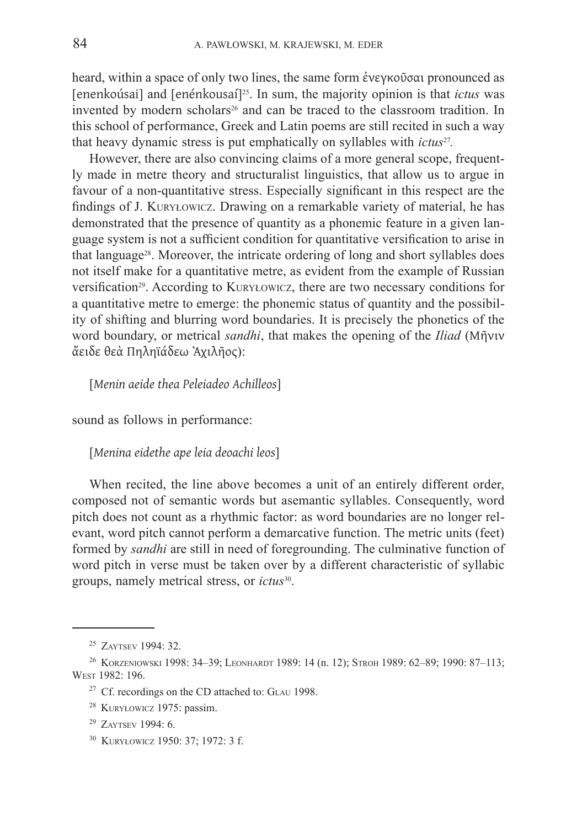heard, within a space of only two lines, the same form ἐνεγκοῦσαι pronounced as [enenkoúsai] and [enénkousaí]25. In sum, the majority opinion is that *ictus* was invented by modern scholars<sup>26</sup> and can be traced to the classroom tradition. In this school of performance, Greek and Latin poems are still recited in such a way that heavy dynamic stress is put emphatically on syllables with *ictus*27*.*

However, there are also convincing claims of a more general scope, frequently made in metre theory and structuralist linguistics, that allow us to argue in favour of a non-quantitative stress. Especially significant in this respect are the findings of J. Kuryłowicz. Drawing on a remarkable variety of material, he has demonstrated that the presence of quantity as a phonemic feature in a given language system is not a sufficient condition for quantitative versification to arise in that language28. Moreover, the intricate ordering of long and short syllables does not itself make for a quantitative metre, as evident from the example of Russian versification<sup>29</sup>. According to KURYŁOWICZ, there are two necessary conditions for a quantitative metre to emerge: the phonemic status of quantity and the possibility of shifting and blurring word boundaries. It is precisely the phonetics of the word boundary, or metrical *sandhi*, that makes the opening of the *Iliad* (Μῆνιν ἄειδε θεὰ Πηληϊάδεω Ἀχιλῆος):

[*Menin aeide thea Peleiadeo Achilleos*]

sound as follows in performance:

[*Menina eidethe ape leia deoachi leos*]

When recited, the line above becomes a unit of an entirely different order, composed not of semantic words but asemantic syllables. Consequently, word pitch does not count as a rhythmic factor: as word boundaries are no longer relevant, word pitch cannot perform a demarcative function. The metric units (feet) formed by *sandhi* are still in need of foregrounding. The culminative function of word pitch in verse must be taken over by a different characteristic of syllabic groups, namely metrical stress, or *ictus*30.

<sup>25</sup> Zaytsev 1994: 32.

<sup>&</sup>lt;sup>26</sup> KORZENIOWSKI 1998: 34-39; LEONHARDT 1989: 14 (n. 12); STROH 1989: 62-89; 1990: 87-113; West 1982: 196.

<sup>&</sup>lt;sup>27</sup> Cf. recordings on the CD attached to: GLAU 1998.

<sup>28</sup> Kuryłowicz 1975: passim.

<sup>29</sup> Zaytsev 1994: 6.

<sup>30</sup> Kuryłowicz 1950: 37; 1972: 3 f.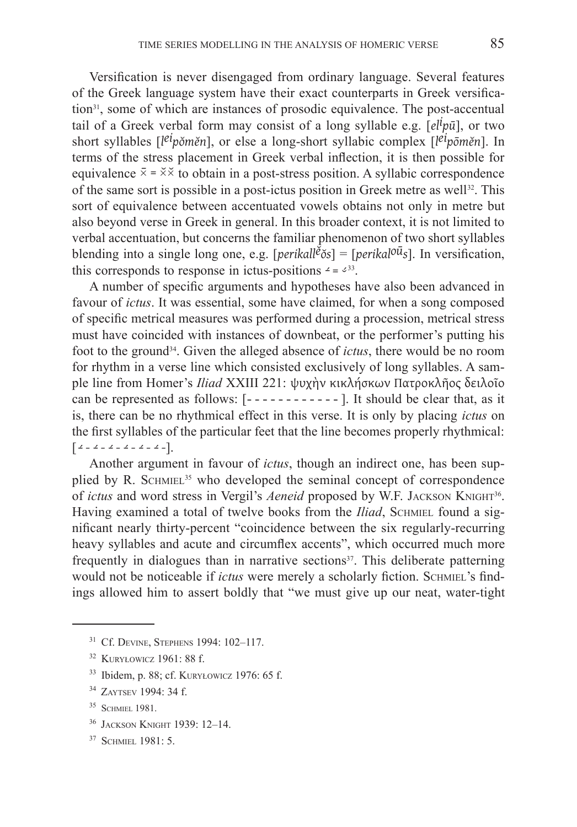Versification is never disengaged from ordinary language. Several features of the Greek language system have their exact counterparts in Greek versification<sup>31</sup>, some of which are instances of prosodic equivalence. The post-accentual tail of a Greek verbal form may consist of a long syllable e.g. [*eli pū*], or two short syllables [*l eipŏmĕn*], or else a long-short syllabic complex [*l eipōmĕn*]. In terms of the stress placement in Greek verbal inflection, it is then possible for equivalence  $\bar{x} = \dot{x} \times \dot{x}$  to obtain in a post-stress position. A syllabic correspondence of the same sort is possible in a post-ictus position in Greek metre as well<sup>32</sup>. This sort of equivalence between accentuated vowels obtains not only in metre but also beyond verse in Greek in general. In this broader context, it is not limited to verbal accentuation, but concerns the familiar phenomenon of two short syllables blending into a single long one, e.g. [*perikallĕŏs*] = [*perikaloūs*]. In versification, this corresponds to response in ictus-positions  $4 = 3^{33}$ .

A number of specific arguments and hypotheses have also been advanced in favour of *ictus*. It was essential, some have claimed, for when a song composed of specific metrical measures was performed during a procession, metrical stress must have coincided with instances of downbeat, or the performer's putting his foot to the ground34. Given the alleged absence of *ictus*, there would be no room for rhythm in a verse line which consisted exclusively of long syllables. A sample line from Homer's *Iliad* XXIII 221: ψυχὴν κικλήσκων Πατροκλῆος δειλοῖο can be represented as follows: [------------ ]. It should be clear that, as it is, there can be no rhythmical effect in this verse. It is only by placing *ictus* on the first syllables of the particular feet that the line becomes properly rhythmical:  $\left[$   $\angle$  *-*  $\angle$  *-*  $\angle$  *-*  $\angle$  *-*  $\angle$  *-*  $\angle$  *-*  $\angle$  - $\angle$  - $\angle$  - $\angle$  - $\angle$ 

Another argument in favour of *ictus*, though an indirect one, has been supplied by R. SCHMIEL<sup>35</sup> who developed the seminal concept of correspondence of *ictus* and word stress in Vergil's *Aeneid* proposed by W.F. JACKSON KNIGHT<sup>36</sup>. Having examined a total of twelve books from the *Iliad*, SCHMIEL found a significant nearly thirty-percent "coincidence between the six regularly-recurring heavy syllables and acute and circumflex accents", which occurred much more frequently in dialogues than in narrative sections<sup>37</sup>. This deliberate patterning would not be noticeable if *ictus* were merely a scholarly fiction. SCHMIEL's findings allowed him to assert boldly that "we must give up our neat, water-tight

- <sup>36</sup> Jackson Knight 1939: 12–14.
- <sup>37</sup> SCHMIEL 1981: 5.

<sup>31</sup> Cf. Devine, Stephens 1994: 102–117.

<sup>32</sup> Kuryłowicz 1961: 88 f.

<sup>33</sup> Ibidem, p. 88; cf. Kuryłowicz 1976: 65 f.

<sup>34</sup> Zaytsev 1994: 34 f.

<sup>&</sup>lt;sup>35</sup> SCHMIEL 1981.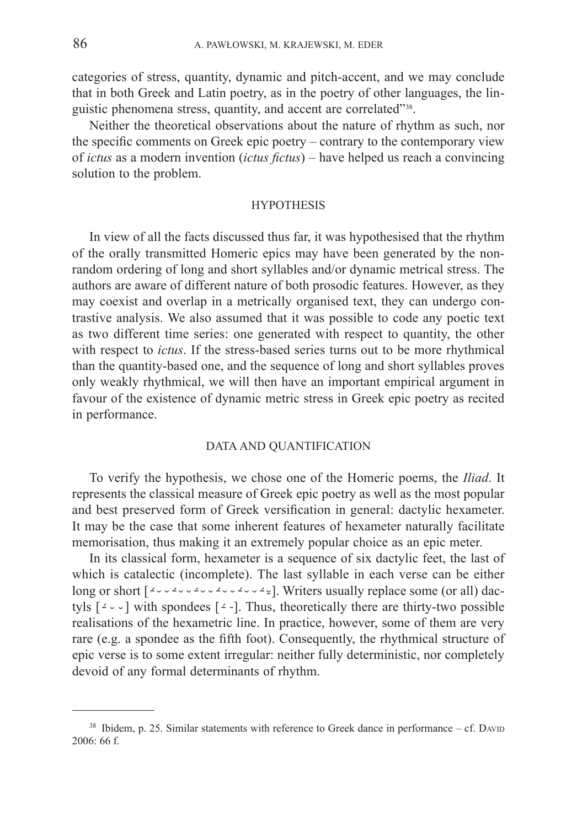categories of stress, quantity, dynamic and pitch-accent, and we may conclude that in both Greek and Latin poetry, as in the poetry of other languages, the linguistic phenomena stress, quantity, and accent are correlated"38.

Neither the theoretical observations about the nature of rhythm as such, nor the specific comments on Greek epic poetry – contrary to the contemporary view of *ictus* as a modern invention (*ictus fictus*) – have helped us reach a convincing solution to the problem.

#### **HYPOTHESIS**

In view of all the facts discussed thus far, it was hypothesised that the rhythm of the orally transmitted Homeric epics may have been generated by the nonrandom ordering of long and short syllables and/or dynamic metrical stress. The authors are aware of different nature of both prosodic features. However, as they may coexist and overlap in a metrically organised text, they can undergo contrastive analysis. We also assumed that it was possible to code any poetic text as two different time series: one generated with respect to quantity, the other with respect to *ictus*. If the stress-based series turns out to be more rhythmical than the quantity-based one, and the sequence of long and short syllables proves only weakly rhythmical, we will then have an important empirical argument in favour of the existence of dynamic metric stress in Greek epic poetry as recited in performance.

#### DATA AND QUANTIFICATION

To verify the hypothesis, we chose one of the Homeric poems, the *Iliad*. It represents the classical measure of Greek epic poetry as well as the most popular and best preserved form of Greek versification in general: dactylic hexameter. It may be the case that some inherent features of hexameter naturally facilitate memorisation, thus making it an extremely popular choice as an epic meter.

In its classical form, hexameter is a sequence of six dactylic feet, the last of which is catalectic (incomplete). The last syllable in each verse can be either long or short  $[2\sqrt{2}\sqrt{2}\sqrt{2}\sqrt{2}\sqrt{2}]$ . Writers usually replace some (or all) dactyls  $[2 \times 7]$  with spondees  $[2 \cdot]$ . Thus, theoretically there are thirty-two possible realisations of the hexametric line. In practice, however, some of them are very rare (e.g. a spondee as the fifth foot). Consequently, the rhythmical structure of epic verse is to some extent irregular: neither fully deterministic, nor completely devoid of any formal determinants of rhythm.

 $38$  Ibidem, p. 25. Similar statements with reference to Greek dance in performance – cf. DAVID 2006: 66 f.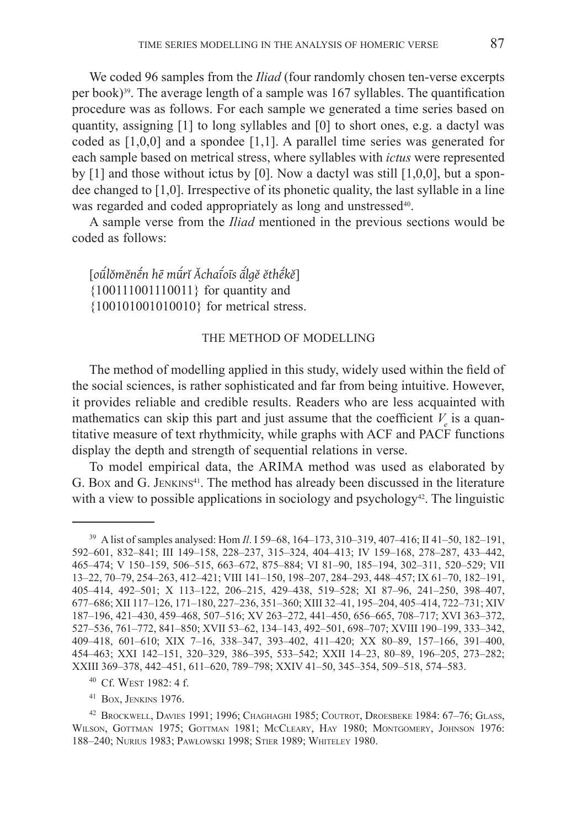We coded 96 samples from the *Iliad* (four randomly chosen ten-verse excerpts per book)<sup>39</sup>. The average length of a sample was 167 syllables. The quantification procedure was as follows. For each sample we generated a time series based on quantity, assigning [1] to long syllables and [0] to short ones, e.g. a dactyl was coded as [1,0,0] and a spondee [1,1]. A parallel time series was generated for each sample based on metrical stress, where syllables with *ictus* were represented by  $[1]$  and those without ictus by  $[0]$ . Now a dactyl was still  $[1,0,0]$ , but a spondee changed to [1,0]. Irrespective of its phonetic quality, the last syllable in a line was regarded and coded appropriately as long and unstressed<sup>40</sup>.

A sample verse from the *Iliad* mentioned in the previous sections would be coded as follows:

[*oūˊlŏmĕnḗn hē mūˊrĭ Ăchaī ˊ oīs āˊ lgĕ ĕthḗkĕ*] {100111001110011} for quantity and {100101001010010} for metrical stress.

#### THE METHOD OF MODELLING

The method of modelling applied in this study, widely used within the field of the social sciences, is rather sophisticated and far from being intuitive. However, it provides reliable and credible results. Readers who are less acquainted with mathematics can skip this part and just assume that the coefficient  $V_e$  is a quantitative measure of text rhythmicity, while graphs with ACF and PACF functions display the depth and strength of sequential relations in verse.

To model empirical data, the ARIMA method was used as elaborated by G. Box and G. JENKINS<sup>41</sup>. The method has already been discussed in the literature with a view to possible applications in sociology and psychology<sup>42</sup>. The linguistic

<sup>39</sup> A list of samples analysed: Hom *Il*. I 59–68, 164–173, 310–319, 407–416; II 41–50, 182–191, 592–601, 832–841; III 149–158, 228–237, 315–324, 404–413; IV 159–168, 278–287, 433–442, 465–474; V 150–159, 506–515, 663–672, 875–884; VI 81–90, 185–194, 302–311, 520–529; VII 13–22, 70–79, 254–263, 412–421; VIII 141–150, 198–207, 284–293, 448–457; IX 61–70, 182–191, 405–414, 492–501; X 113–122, 206–215, 429–438, 519–528; XI 87–96, 241–250, 398–407, 677–686; XII 117–126, 171–180, 227–236, 351–360; XIII 32–41, 195–204, 405–414, 722–731; XIV 187–196, 421–430, 459–468, 507–516; XV 263–272, 441–450, 656–665, 708–717; XVI 363–372, 527–536, 761–772, 841–850; XVII 53–62, 134–143, 492–501, 698–707; XVIII 190–199, 333–342, 409–418, 601–610; XIX 7–16, 338–347, 393–402, 411–420; XX 80–89, 157–166, 391–400, 454–463; XXI 142–151, 320–329, 386–395, 533–542; XXII 14–23, 80–89, 196–205, 273–282; XXIII 369–378, 442–451, 611–620, 789–798; XXIV 41–50, 345–354, 509–518, 574–583.

<sup>40</sup> Cf. West 1982: 4 f.

<sup>41</sup> Box, Jenkins 1976.

<sup>42</sup> Brockwell, Davies 1991; 1996; Chaghaghi 1985; Coutrot, Droesbeke 1984: 67–76; Glass, Wilson, Gottman 1975; Gottman 1981; McCleary, Hay 1980; Montgomery, Johnson 1976: 188–240; Nurius 1983; Pawłowski 1998; Stier 1989; Whiteley 1980.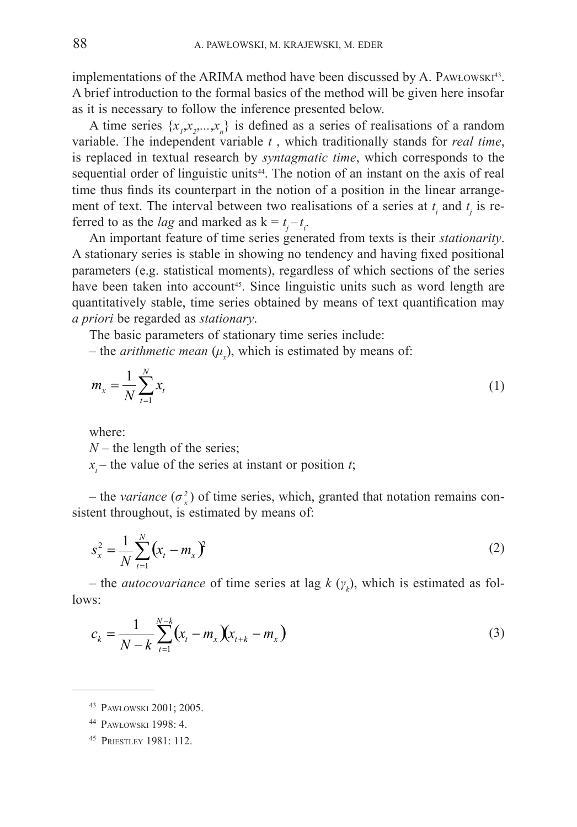implementations of the ARIMA method have been discussed by A. PAWŁOWSKI $43$ . A brief introduction to the formal basics of the method will be given here insofar as it is necessary to follow the inference presented below.

A time series  $\{x_1, x_2, \ldots, x_n\}$  is defined as a series of realisations of a random variable. The independent variable *t* , which traditionally stands for *real time*, is replaced in textual research by *syntagmatic time*, which corresponds to the sequential order of linguistic units<sup>44</sup>. The notion of an instant on the axis of real time thus finds its counterpart in the notion of a position in the linear arrangement of text. The interval between two realisations of a series at  $t_i$  and  $t_j$  is referred to as the *lag* and marked as  $k = t_j - t_i$ .

An important feature of time series generated from texts is their *stationarity*. A stationary series is stable in showing no tendency and having fixed positional parameters (e.g. statistical moments), regardless of which sections of the series have been taken into account<sup>45</sup>. Since linguistic units such as word length are quantitatively stable, time series obtained by means of text quantification may *a priori* be regarded as *stationary*.

The basic parameters of stationary time series include:

– the *arithmetic mean*  $(\mu_x)$ , which is estimated by means of:

$$
m_x = \frac{1}{N} \sum_{t=1}^{N} x_t
$$
 (1)

where:

*N* – the length of the series;

 $x<sub>t</sub>$  – the value of the series at instant or position *t*;

– the *variance*  $(\sigma_x^2)$  of time series, which, granted that notation remains consistent throughout, is estimated by means of:

$$
s_x^2 = \frac{1}{N} \sum_{t=1}^{N} (x_t - m_x)^2
$$
 (2)

– the *autocovariance* of time series at lag  $k(\gamma_k)$ , which is estimated as follows:

$$
c_k = \frac{1}{N-k} \sum_{t=1}^{N-k} (x_t - m_x)(x_{t+k} - m_x)
$$
 (3)

<sup>45</sup> Priestley 1981: 112.

<sup>43</sup> Pawłowski 2001; 2005.

<sup>44</sup> Pawłowski 1998: 4.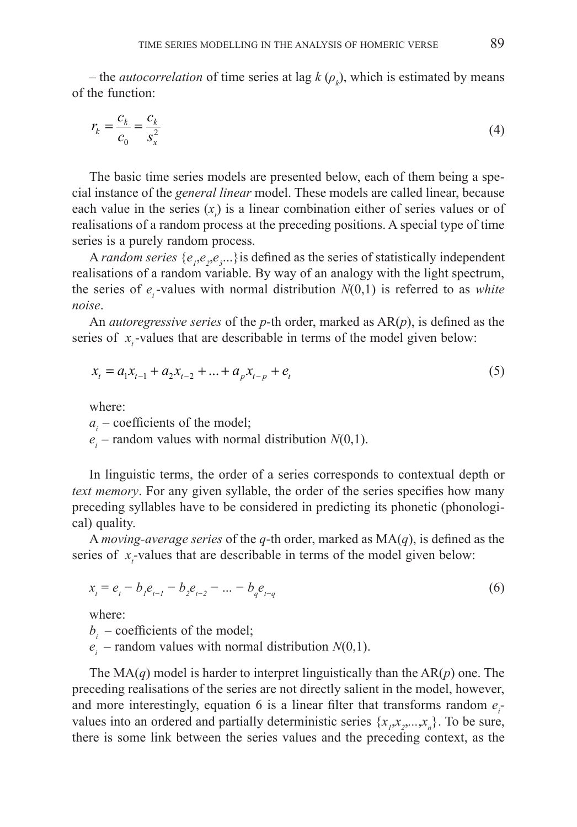– the *autocorrelation* of time series at lag  $k(\rho_k)$ , which is estimated by means of the function:

$$
r_k = \frac{c_k}{c_0} = \frac{c_k}{s_x^2} \tag{4}
$$

The basic time series models are presented below, each of them being a special instance of the *general linear* model. These models are called linear, because each value in the series  $(x<sub>i</sub>)$  is a linear combination either of series values or of realisations of a random process at the preceding positions. A special type of time series is a purely random process.

A *random series*  $\{e_1, e_2, e_3, \ldots\}$  is defined as the series of statistically independent realisations of a random variable. By way of an analogy with the light spectrum, the series of  $e_i$ -values with normal distribution  $N(0,1)$  is referred to as *white noise*.

An *autoregressive series* of the *p*-th order, marked as AR(*p*), is defined as the series of  $x<sub>t</sub>$ -values that are describable in terms of the model given below:

$$
x_{t} = a_{1}x_{t-1} + a_{2}x_{t-2} + \dots + a_{p}x_{t-p} + e_{t}
$$
\n<sup>(5)</sup>

where:

 $a_i$  – coefficients of the model;

 $e_i$  – random values with normal distribution  $N(0,1)$ .

In linguistic terms, the order of a series corresponds to contextual depth or *text memory*. For any given syllable, the order of the series specifies how many preceding syllables have to be considered in predicting its phonetic (phonological) quality.

A *moving-average series* of the *q*-th order, marked as MA(*q*), is defined as the series of  $x<sub>t</sub>$ -values that are describable in terms of the model given below:

$$
x_{i} = e_{i} - b_{i} e_{i-1} - b_{i} e_{i-2} - \dots - b_{q} e_{i-q}
$$
 (6)

where:

 $b_i$  – coefficients of the model;

 $e_i$  – random values with normal distribution *N*(0,1).

The MA(*q*) model is harder to interpret linguistically than the AR(*p*) one. The preceding realisations of the series are not directly salient in the model, however, and more interestingly, equation 6 is a linear filter that transforms random  $e_i$ values into an ordered and partially deterministic series  $\{x_1, x_2, \ldots, x_n\}$ . To be sure, there is some link between the series values and the preceding context, as the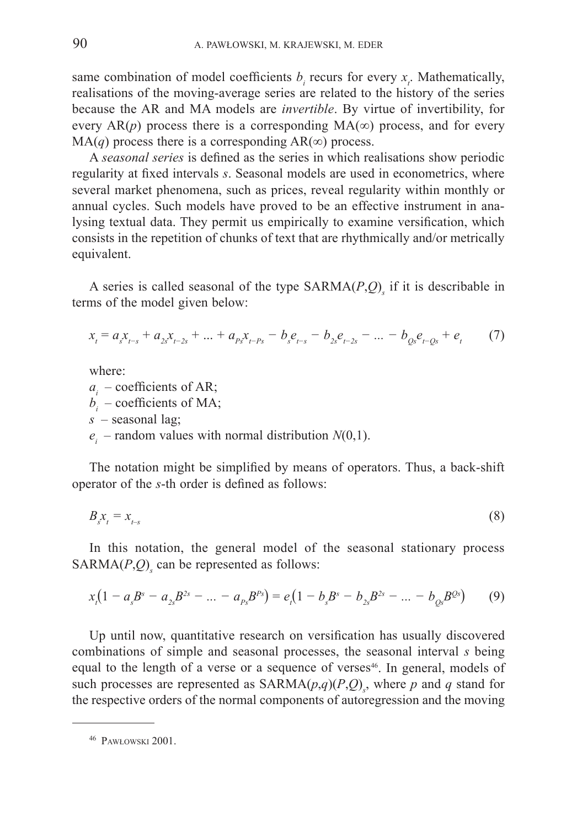same combination of model coefficients  $b_i$  recurs for every  $x_i$ . Mathematically, realisations of the moving-average series are related to the history of the series because the AR and MA models are *invertible*. By virtue of invertibility, for every  $AR(p)$  process there is a corresponding  $MA(\infty)$  process, and for every  $MA(q)$  process there is a corresponding  $AR(\infty)$  process.

A *seasonal series* is defined as the series in which realisations show periodic regularity at fixed intervals *s*. Seasonal models are used in econometrics, where several market phenomena, such as prices, reveal regularity within monthly or annual cycles. Such models have proved to be an effective instrument in analysing textual data. They permit us empirically to examine versification, which consists in the repetition of chunks of text that are rhythmically and/or metrically equivalent.

A series is called seasonal of the type SARMA(*P*,*Q*)*<sup>s</sup>* if it is describable in terms of the model given below:

$$
x_{t} = a_{s}x_{t-s} + a_{2s}x_{t-2s} + \dots + a_{ps}x_{t-ps} - b_{s}e_{t-s} - b_{2s}e_{t-2s} - \dots - b_{0s}e_{t-0s} + e_{t}
$$
 (7)

where:

 $a_i$  – coefficients of AR;  $b_i$  – coefficients of MA; *s* – seasonal lag;  $e_i$  – random values with normal distribution *N*(0,1).

The notation might be simplified by means of operators. Thus, a back-shift operator of the *s*-th order is defined as follows:

$$
B_{s}x_{t} = x_{t-s} \tag{8}
$$

In this notation, the general model of the seasonal stationary process  $SARMA(P,Q)$ <sub>s</sub> can be represented as follows:

$$
x_{1}(1-a_{s}B^{s}-a_{2s}B^{2s}-...-a_{ps}B^{ps})=e_{1}(1-b_{s}B^{s}-b_{2s}B^{2s}-...-b_{QS}B^{QS})
$$
(9)

Up until now, quantitative research on versification has usually discovered combinations of simple and seasonal processes, the seasonal interval *s* being equal to the length of a verse or a sequence of verses<sup>46</sup>. In general, models of such processes are represented as  $SARMA(p,q)(P,Q)$ <sub>s</sub>, where *p* and *q* stand for the respective orders of the normal components of autoregression and the moving

<sup>46</sup> Pawłowski 2001.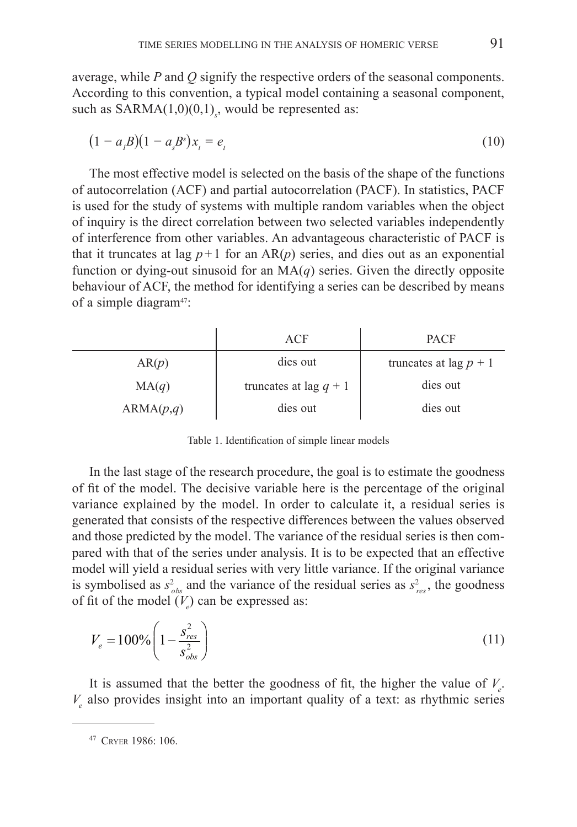average, while *P* and *Q* signify the respective orders of the seasonal components. According to this convention, a typical model containing a seasonal component, such as SARMA(1,0)(0,1)<sub>*s*</sub>, would be represented as:

$$
(1 - a1B)(1 - asBs)xt = et
$$
 (10)

The most effective model is selected on the basis of the shape of the functions of autocorrelation (ACF) and partial autocorrelation (PACF). In statistics, PACF is used for the study of systems with multiple random variables when the object of inquiry is the direct correlation between two selected variables independently of interference from other variables. An advantageous characteristic of PACF is that it truncates at lag  $p+1$  for an AR( $p$ ) series, and dies out as an exponential function or dying-out sinusoid for an  $MA(q)$  series. Given the directly opposite behaviour of ACF, the method for identifying a series can be described by means of a simple diagram<sup>47</sup>:

|           | ACF                      | <b>PACF</b>              |
|-----------|--------------------------|--------------------------|
| AR(p)     | dies out                 | truncates at lag $p + 1$ |
| MA(q)     | truncates at lag $q + 1$ | dies out                 |
| ARMA(p,q) | dies out                 | dies out                 |

Table 1. Identification of simple linear models

In the last stage of the research procedure, the goal is to estimate the goodness of fit of the model. The decisive variable here is the percentage of the original variance explained by the model. In order to calculate it, a residual series is generated that consists of the respective differences between the values observed and those predicted by the model. The variance of the residual series is then compared with that of the series under analysis. It is to be expected that an effective model will yield a residual series with very little variance. If the original variance is symbolised as  $s^2_{obs}$  and the variance of the residual series as  $s^2_{res}$ , the goodness of fit of the model  $(V_e)$  can be expressed as:

$$
V_e = 100\% \left( 1 - \frac{s_{res}^2}{s_{obs}^2} \right)
$$
 (11)

It is assumed that the better the goodness of fit, the higher the value of *V<sup>e</sup>* .  $V_e$  also provides insight into an important quality of a text: as rhythmic series

<sup>47</sup> Cryer 1986: 106.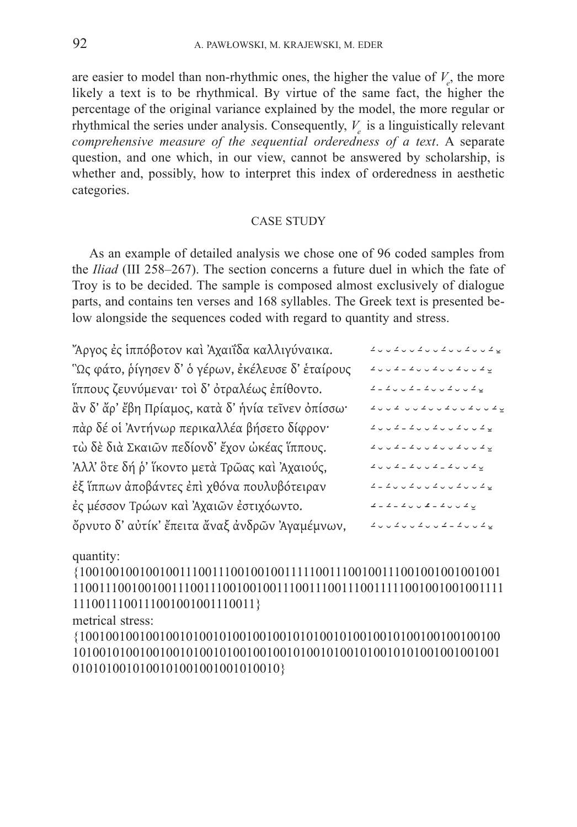are easier to model than non-rhythmic ones, the higher the value of  $V_e$ , the more likely a text is to be rhythmical. By virtue of the same fact, the higher the percentage of the original variance explained by the model, the more regular or rhythmical the series under analysis. Consequently,  $V_e$  is a linguistically relevant *comprehensive measure of the sequential orderedness of a text*. A separate question, and one which, in our view, cannot be answered by scholarship, is whether and, possibly, how to interpret this index of orderedness in aesthetic categories.

#### CASE STUDY

As an example of detailed analysis we chose one of 96 coded samples from the *Iliad* (III 258–267). The section concerns a future duel in which the fate of Troy is to be decided. The sample is composed almost exclusively of dialogue parts, and contains ten verses and 168 syllables. The Greek text is presented below alongside the sequences coded with regard to quantity and stress.

| "Άργος ἐς ἱππόβοτον καὶ Ἀχαιΐδα καλλιγύναικα.      | $\angle\cup\cup\cup\cup\cup\cup\cup\cup\cup\cup\cup\cup\cup\cup\cup\cup\cup\cup$                                                               |
|----------------------------------------------------|------------------------------------------------------------------------------------------------------------------------------------------------|
| "Ως φάτο, ρίγησεν δ' ὁ γέρων, ἐκέλευσε δ' ἑταίρους | $\angle\cup\cup\cup\angle\perp\angle\cup\cup\angle\cup\cup\angle\cup\angle\vee\angle\subseteq$                                                 |
| ἵππους ζευνύμεναι· τοὶ δ' ὀτραλέως ἐπίθοντο.       | $\mathbb{Z} = \mathbb{Z} \cup \cup \mathbb{Z} = \mathbb{Z} \cup \cup \mathbb{Z} \cup \cup \mathbb{Z} \subseteq$                                |
| ἂν δ' ἄρ' ἔβη Πρίαμος, κατὰ δ' ἡνία τεῖνεν ὀπίσσω· | $\mathcal{L} \cup \cup \cup \mathcal{L} \cup \cup \mathcal{L} \cup \cup \mathcal{L} \cup \cup \mathcal{L} \cup \cup \mathcal{L} \subseteq$     |
| πὰρ δέ οἱ Ἀντήνωρ περικαλλέα βήσετο δίφρον·        | $\mathcal{L} \cup \cup \mathcal{L} = \mathcal{L} \cup \cup \mathcal{L} \cup \cup \mathcal{L} \cup \cup \mathcal{L} \subseteq$                  |
| τώ δε διά Σκαιών πεδίονδ' έχον ώκέας ίππους.       | $\mathcal{L} \cup \cup \mathcal{L} = \mathcal{L} \cup \cup \mathcal{L} \cup \cup \mathcal{L} \cup \cup \mathcal{L} \subseteq$                  |
| Άλλ' ὃτε δή ρ' ἵκοντο μετά Τρῶας καὶ Ἀχαιούς,      | $\mathbb{Z} \ \cup \ \cup \ \mathbb{Z} \ \bot \ \mathbb{Z} \ \cup \ \cup \ \mathbb{Z} \ \bot \ \mathbb{Z} \ \cup \ \cup \ \mathbb{Z} \ \unlhd$ |
| έξ ἵππων ἀποβάντες ἐπὶ χθόνα πουλυβότειραν         | $\mathcal{L} \perp \mathcal{L} \cup \cup \mathcal{L} \cup \cup \mathcal{L} \cup \cup \mathcal{L} \cup \cup \mathcal{L} \subseteq$              |
| ές μέσσον Τρώων καί Αχαιών έστιχόωντο.             | $\mathbb{Z} \perp \mathbb{Z} \perp \mathbb{Z} \cup \cup \mathbb{Z} \perp \mathbb{Z} \cup \cup \mathbb{Z} \subseteq$                            |
| όρνυτο δ' αύτίκ' έπειτα άναξ άνδρων Άγαμέμνων,     | $\angle\cup\cup\cup\angle\cup\cup\angle\cup\cup\angle\perp\angle\cup\cup\angle\vee\angle$                                                      |
|                                                    |                                                                                                                                                |

quantity:

{1001001001001001110011100100100111110011100100111001001001001001 110011100100100111001110010010011100111001110011111001001001001111 1110011100111001001001110011}

metrical stress:

{100100100100100101001010010010010101001010010010100100100100100 1010010100100100101001010010010010100101001010010101001001001001 0101010010100101001001001010010}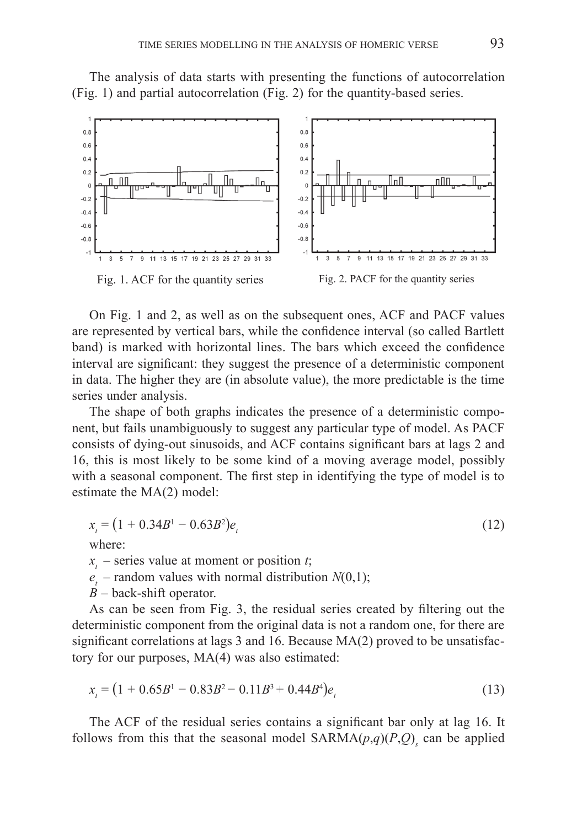The analysis of data starts with presenting the functions of autocorrelation (Fig. 1) and partial autocorrelation (Fig. 2) for the quantity-based series.



On Fig. 1 and 2, as well as on the subsequent ones, ACF and PACF values are represented by vertical bars, while the confidence interval (so called Bartlett band) is marked with horizontal lines. The bars which exceed the confidence interval are significant: they suggest the presence of a deterministic component in data. The higher they are (in absolute value), the more predictable is the time series under analysis.

The shape of both graphs indicates the presence of a deterministic component, but fails unambiguously to suggest any particular type of model. As PACF consists of dying-out sinusoids, and ACF contains significant bars at lags 2 and 16, this is most likely to be some kind of a moving average model, possibly with a seasonal component. The first step in identifying the type of model is to estimate the MA(2) model:

$$
x_t = (1 + 0.34B^1 - 0.63B^2)e_t
$$
\n(12)

where:

 $x<sub>i</sub>$  – series value at moment or position *t*;

- $e_t$  random values with normal distribution  $N(0,1)$ ;
- *B* back-shift operator.

As can be seen from Fig. 3, the residual series created by filtering out the deterministic component from the original data is not a random one, for there are significant correlations at lags 3 and 16. Because MA(2) proved to be unsatisfactory for our purposes, MA(4) was also estimated:

$$
x_t = (1 + 0.65B^1 - 0.83B^2 - 0.11B^3 + 0.44B^4)e_t
$$
\n(13)

The ACF of the residual series contains a significant bar only at lag 16. It follows from this that the seasonal model  $SARMA(p,q)(P,Q)$ <sub>s</sub> can be applied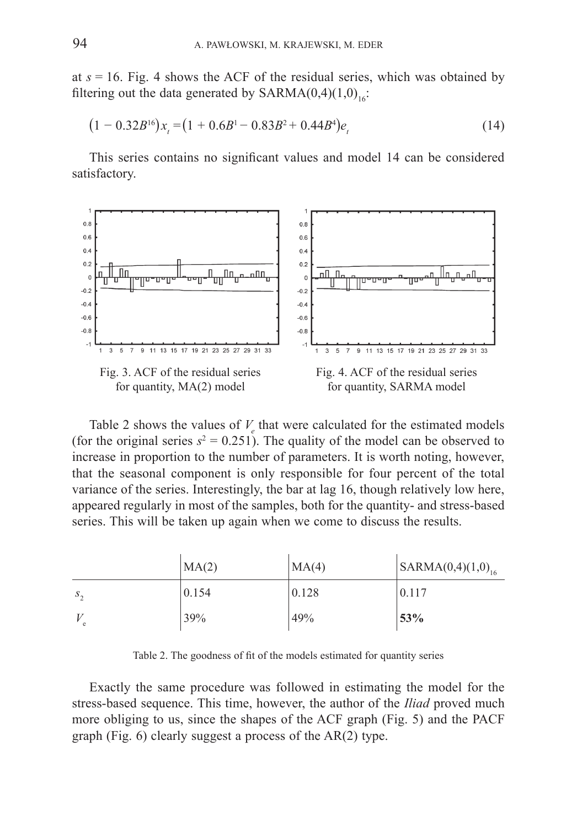at  $s = 16$ . Fig. 4 shows the ACF of the residual series, which was obtained by filtering out the data generated by  $SARMA(0,4)(1,0)_{16}$ :

$$
(1 - 0.32B^{16})x_t = (1 + 0.6B^1 - 0.83B^2 + 0.44B^4)e_t
$$
\n(14)

This series contains no significant values and model 14 can be considered satisfactory.



Table 2 shows the values of  $V_e$  that were calculated for the estimated models (for the original series  $s^2 = 0.251$ ). The quality of the model can be observed to increase in proportion to the number of parameters. It is worth noting, however, that the seasonal component is only responsible for four percent of the total variance of the series. Interestingly, the bar at lag 16, though relatively low here, appeared regularly in most of the samples, both for the quantity- and stress-based series. This will be taken up again when we come to discuss the results.

|              | MA(2) | MA(4) | $ $ SARMA $(0,4)(1,0)_{16}$ |
|--------------|-------|-------|-----------------------------|
| $S_{\alpha}$ | 0.154 | 0.128 | 0.117                       |
|              | 39%   | 49%   | 53%                         |

Table 2. The goodness of fit of the models estimated for quantity series

Exactly the same procedure was followed in estimating the model for the stress-based sequence. This time, however, the author of the *Iliad* proved much more obliging to us, since the shapes of the ACF graph (Fig. 5) and the PACF graph (Fig. 6) clearly suggest a process of the AR(2) type.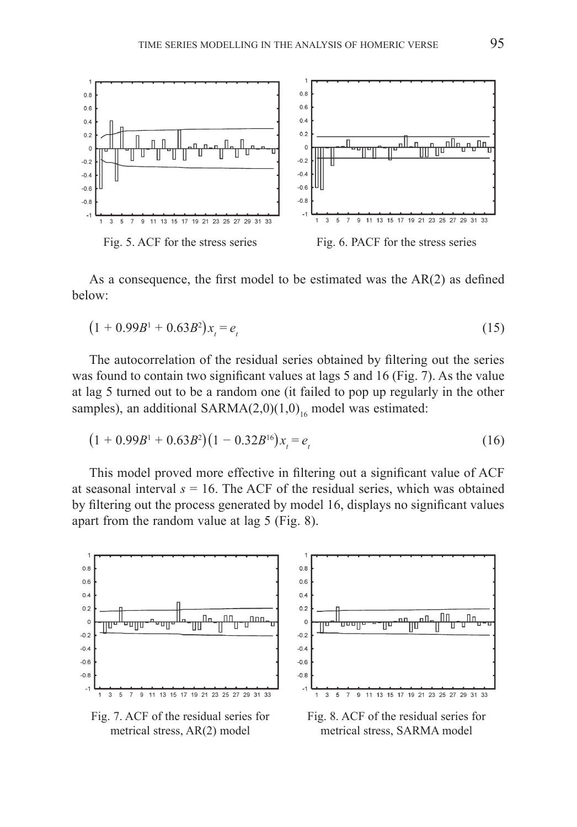

As a consequence, the first model to be estimated was the AR(2) as defined below:

$$
(1 + 0.99B1 + 0.63B2)xt = et
$$
\n(15)

The autocorrelation of the residual series obtained by filtering out the series was found to contain two significant values at lags 5 and 16 (Fig. 7). As the value at lag 5 turned out to be a random one (it failed to pop up regularly in the other samples), an additional SARMA $(2,0)(1,0)$ <sub>16</sub> model was estimated:

$$
(1+0.99B1 + 0.63B2)(1-0.32B16)xi = ei
$$
 (16)

This model proved more effective in filtering out a significant value of ACF at seasonal interval  $s = 16$ . The ACF of the residual series, which was obtained by filtering out the process generated by model 16, displays no significant values apart from the random value at lag 5 (Fig. 8).



Fig. 7. ACF of the residual series for metrical stress, AR(2) model

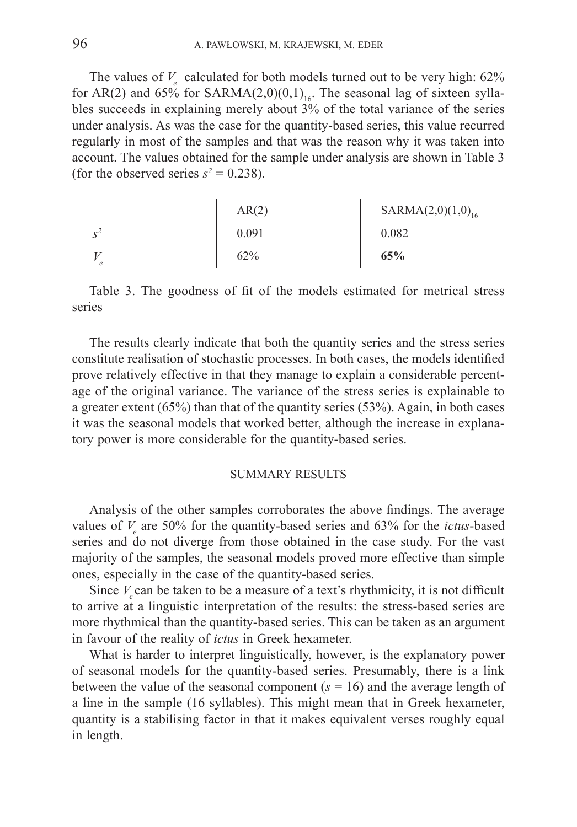The values of  $V_e$  calculated for both models turned out to be very high:  $62\%$ for AR(2) and 65% for SARMA(2,0)(0,1)<sub>16</sub>. The seasonal lag of sixteen syllables succeeds in explaining merely about 3% of the total variance of the series under analysis. As was the case for the quantity-based series, this value recurred regularly in most of the samples and that was the reason why it was taken into account. The values obtained for the sample under analysis are shown in Table 3 (for the observed series  $s^2 = 0.238$ ).

|                            | AR(2) | $SARMA(2,0)(1,0)_{16}$ |
|----------------------------|-------|------------------------|
| $\mathbf{C}^{\mathcal{L}}$ | 0.091 | 0.082                  |
| $\epsilon$                 | 62%   | 65%                    |

Table 3. The goodness of fit of the models estimated for metrical stress series

The results clearly indicate that both the quantity series and the stress series constitute realisation of stochastic processes. In both cases, the models identified prove relatively effective in that they manage to explain a considerable percentage of the original variance. The variance of the stress series is explainable to a  greater extent (65%) than that of the quantity series (53%). Again, in both cases it was the seasonal models that worked better, although the increase in explanatory power is more considerable for the quantity-based series.

#### SUMMARY RESULTS

Analysis of the other samples corroborates the above findings. The average values of *V<sup>e</sup>* are 50% for the quantity-based series and 63% for the *ictus*-based series and do not diverge from those obtained in the case study. For the vast majority of the samples, the seasonal models proved more effective than simple ones, especially in the case of the quantity-based series.

Since  $V_{\rm e}$  can be taken to be a measure of a text's rhythmicity, it is not difficult to arrive at a linguistic interpretation of the results: the stress-based series are more rhythmical than the quantity-based series. This can be taken as an argument in favour of the reality of *ictus* in Greek hexameter.

What is harder to interpret linguistically, however, is the explanatory power of seasonal models for the quantity-based series. Presumably, there is a link between the value of the seasonal component  $(s = 16)$  and the average length of a line in the sample (16 syllables). This might mean that in Greek hexameter, quantity is a  stabilising factor in that it makes equivalent verses roughly equal in length.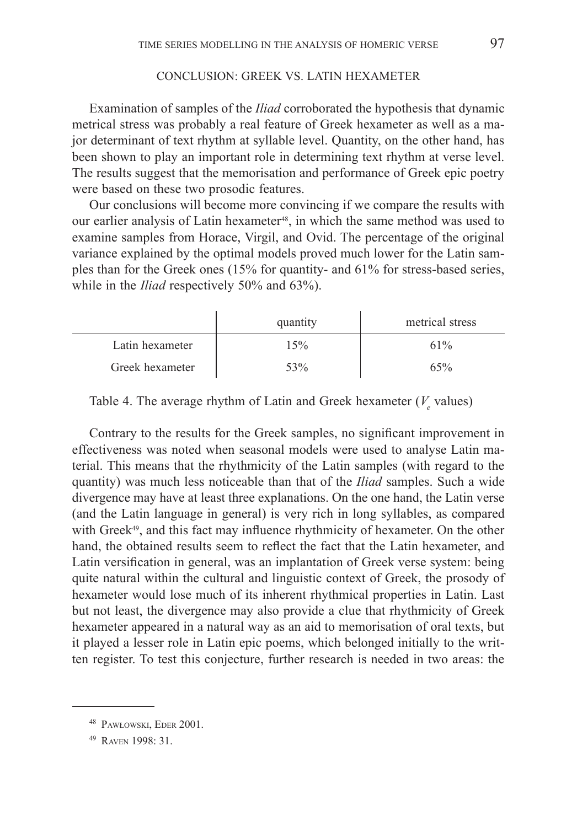## CONCLUSION: GREEK VS. LATIN HEXAMETER

Examination of samples of the *Iliad* corroborated the hypothesis that dynamic metrical stress was probably a real feature of Greek hexameter as well as a major determinant of text rhythm at syllable level. Quantity, on the other hand, has been shown to play an important role in determining text rhythm at verse level. The results suggest that the memorisation and performance of Greek epic poetry were based on these two prosodic features.

Our conclusions will become more convincing if we compare the results with our earlier analysis of Latin hexameter<sup>48</sup>, in which the same method was used to examine samples from Horace, Virgil, and Ovid. The percentage of the original variance explained by the optimal models proved much lower for the Latin samples than for the Greek ones (15% for quantity- and 61% for stress-based series, while in the *Iliad* respectively 50% and 63%).

|                 | quantity | metrical stress |
|-----------------|----------|-----------------|
| Latin hexameter | 15%      | 61%             |
| Greek hexameter | 53%      | 65%             |

Table 4. The average rhythm of Latin and Greek hexameter  $(V_e$  values)

Contrary to the results for the Greek samples, no significant improvement in effectiveness was noted when seasonal models were used to analyse Latin material. This means that the rhythmicity of the Latin samples (with regard to the quantity) was much less noticeable than that of the *Iliad* samples. Such a wide divergence may have at least three explanations. On the one hand, the Latin verse (and the Latin language in general) is very rich in long syllables, as compared with Greek<sup>49</sup>, and this fact may influence rhythmicity of hexameter. On the other hand, the obtained results seem to reflect the fact that the Latin hexameter, and Latin versification in general, was an implantation of Greek verse system: being quite natural within the cultural and linguistic context of Greek, the prosody of hexameter would lose much of its inherent rhythmical properties in Latin. Last but not least, the divergence may also provide a clue that rhythmicity of Greek hexameter appeared in a natural way as an aid to memorisation of oral texts, but it played a lesser role in Latin epic poems, which belonged initially to the written register. To test this conjecture, further research is needed in two areas: the

<sup>48</sup> Pawłowski, Eder 2001.

<sup>49</sup> Raven 1998: 31.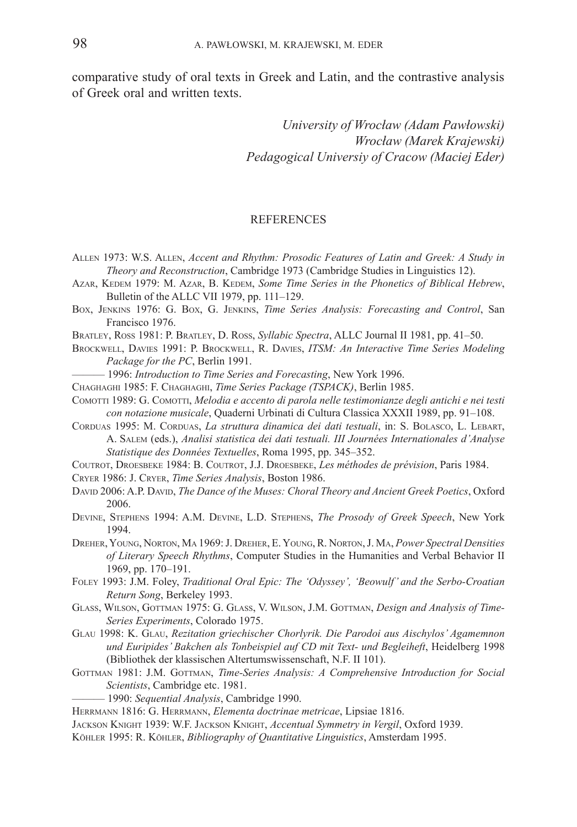comparative study of oral texts in Greek and Latin, and the contrastive analysis of Greek oral and written texts.

> *University of Wrocław (Adam Pawłowski) Wrocław (Marek Krajewski) Pedagogical Universiy of Cracow (Maciej Eder)*

#### **REFERENCES**

- Allen 1973: W.S. Allen, *Accent and Rhythm: Prosodic Features of Latin and Greek: A Study in Theory and Reconstruction*, Cambridge 1973 (Cambridge Studies in Linguistics 12).
- Azar, KEDEM 1979: M. Azar, B. KEDEM, *Some Time Series in the Phonetics of Biblical Hebrew*, Bulletin of the ALLC VII 1979, pp. 111–129.
- Box, Jenkins 1976: G. Box, G. Jenkins, *Time Series Analysis: Forecasting and Control*, San Francisco 1976.
- Bratley, Ross 1981: P. Bratley, D. Ross, *Syllabic Spectra*, ALLC Journal II 1981, pp. 41–50.
- Brockwell, Davies 1991: P. Brockwell, R. Davies, *ITSM: An Interactive Time Series Modeling Package for the PC*, Berlin 1991.
	- ——— 1996: *Introduction to Time Series and Forecasting*, New York 1996.
- Chaghaghi 1985: F. Chaghaghi, *Time Series Package (TSPACK)*, Berlin 1985.
- COMOTTI 1989: G. COMOTTI, *Melodia e accento di parola nelle testimonianze degli antichi e nei testi con notazione musicale*, Quaderni Urbinati di Cultura Classica XXXII 1989, pp. 91–108.
- CORDUAS 1995: M. CORDUAS, *La struttura dinamica dei dati testuali*, in: S. BOLASCO, L. LEBART, A. Salem (eds.), *Analisi statistica dei dati testuali. III Journées Internationales d'Analyse Statistique des Données Textuelles*, Roma 1995, pp. 345–352.
- Coutrot, Droesbeke 1984: B. Coutrot, J.J. Droesbeke, *Les méthodes de prévision*, Paris 1984.
- Cryer 1986: J. Cryer, *Time Series Analysis*, Boston 1986.
- DAVID 2006: A.P. DAVID, *The Dance of the Muses: Choral Theory and Ancient Greek Poetics*, Oxford 2006.
- Devine, Stephens 1994: A.M. Devine, L.D. Stephens, *The Prosody of Greek Speech*, New York 1994.
- Dreher, Young, Norton, Ma 1969: J. Dreher, E. Young, R. Norton, J. Ma, *Power Spectral Densities of Literary Speech Rhythms*, Computer Studies in the Humanities and Verbal Behavior II 1969, pp. 170–191.
- Foley 1993: J.M. Foley, *Traditional Oral Epic: The 'Odyssey', 'Beowulf' and the Serbo-Croatian Return Song*, Berkeley 1993.
- Glass, Wilson, Gottman 1975: G. Glass, V. Wilson, J.M. Gottman, *Design and Analysis of Time-Series Experiments*, Colorado 1975.
- Glau 1998: K. Glau, *Rezitation griechischer Chorlyrik. Die Parodoi aus Aischylos' Agamemnon und Euripides' Bakchen als Tonbeispiel auf CD mit Text- und Begleiheft*, Heidelberg 1998 (Bibliothek der klassischen Altertumswissenschaft, N.F. II 101).
- GOTTMAN 1981: J.M. GOTTMAN, *Time-Series Analysis: A Comprehensive Introduction for Social Scientists*, Cambridge etc. 1981.
	- ——— 1990: *Sequential Analysis*, Cambridge 1990.
- Herrmann 1816: G. Herrmann, *Elementa doctrinae metricae*, Lipsiae 1816.
- Jackson Knight 1939: W.F. Jackson Knight, *Accentual Symmetry in Vergil*, Oxford 1939.
- Köhler 1995: R. Köhler, *Bibliography of Quantitative Linguistics*, Amsterdam 1995.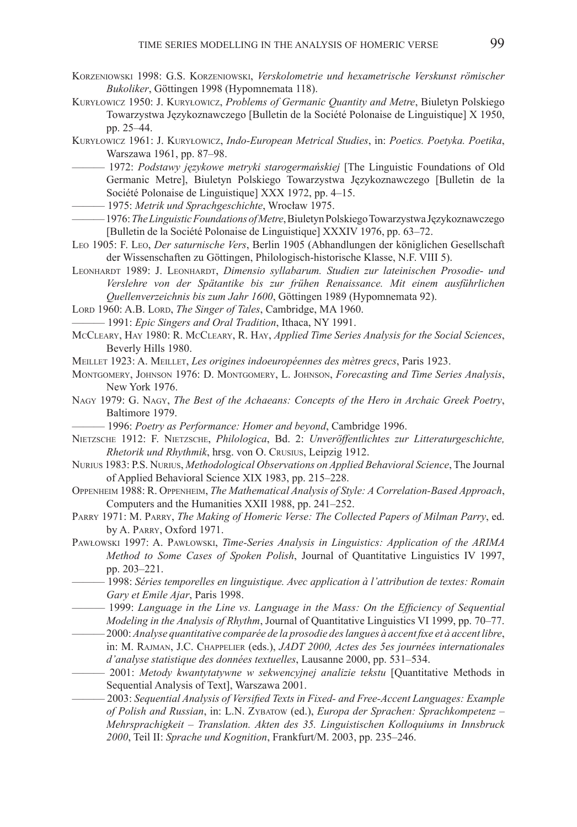- Korzeniowski 1998: G.S. Korzeniowski, *Verskolometrie und hexametrische Verskunst römischer Bukoliker*, Göttingen 1998 (Hypomnemata 118).
- Kuryłowicz 1950: J. Kuryłowicz, *Problems of Germanic Quantity and Metre*, Biuletyn Polskiego Towarzystwa Językoznawczego [Bulletin de la Société Polonaise de Linguistique] X 1950, pp. 25–44.
- Kuryłowicz 1961: J. Kuryłowicz, *Indo-European Metrical Studies*, in: *Poetics. Poetyka. Poetika*, Warszawa 1961, pp. 87–98.
	- ——— 1972: *Podstawy językowe metryki starogermańskiej* [The Linguistic Foundations of Old Germanic Metre], Biuletyn Polskiego Towarzystwa Językoznawczego [Bulletin de la Société Polonaise de Linguistique] XXX 1972, pp. 4–15.
- ——— 1975: *Metrik und Sprachgeschichte*, Wrocław 1975.
- ——— 1976: *The Linguistic Foundations of Metre*, Biuletyn Polskiego Towarzystwa Językoznawczego [Bulletin de la Société Polonaise de Linguistique] XXXIV 1976, pp.  63–72.
- Leo 1905: F. Leo, *Der saturnische Vers*, Berlin 1905 (Abhandlungen der königlichen Gesellschaft der Wissenschaften zu Göttingen, Philologisch-historische Klasse, N.F. VIII 5).
- LEONHARDT 1989: J. LEONHARDT, *Dimensio syllabarum. Studien zur lateinischen Prosodie- und Verslehre von der Spätantike bis zur frühen Renaissance. Mit einem ausführlichen Quellenverzeichnis bis zum Jahr 1600*, Göttingen 1989 (Hypomnemata 92).
- LORD 1960: A.B. LORD, *The Singer of Tales*, Cambridge, MA 1960.
- ——— 1991: *Epic Singers and Oral Tradition*, Ithaca, NY 1991.
- McCleary, Hay 1980: R. McCleary, R. Hay, *Applied Time Series Analysis for the Social Sciences*, Beverly Hills 1980.
- Meillet 1923: A. Meillet, *Les origines indoeuropéennes des mètres grecs*, Paris 1923.
- Montgomery, Johnson 1976: D. Montgomery, L. Johnson, *Forecasting and Time Series Analysis*, New York 1976.
- Nagy 1979: G. Nagy, *The Best of the Achaeans: Concepts of the Hero in Archaic Greek Poetry*, Baltimore 1979.
- ——— 1996: *Poetry as Performance: Homer and beyond*, Cambridge 1996.
- Nietzsche 1912: F. Nietzsche, *Philologica*, Bd. 2: *Unveröffentlichtes zur Litteraturgeschichte, Rhetorik und Rhythmik*, hrsg. von O. Crusius, Leipzig 1912.
- Nurius 1983: P.S. Nurius, *Methodological Observations on Applied Behavioral Science*, The Journal of Applied Behavioral Science XIX 1983, pp. 215–228.
- Oppenheim 1988: R. Oppenheim, *The Mathematical Analysis of Style: A Correlation-Based Approach*, Computers and the Humanities XXII 1988, pp. 241–252.
- Parry 1971: M. Parry, *The Making of Homeric Verse: The Collected Papers of Milman Parry*, ed. by A. PARRY, Oxford 1971.
- Pawłowski 1997: A. Pawłowski, *Time-Series Analysis in Linguistics: Application of the ARIMA Method to Some Cases of Spoken Polish*, Journal of Quantitative Linguistics IV 1997, pp.  203–221.
- ——— 1998: *Séries temporelles en linguistique. Avec application à l'attribution de textes: Romain Gary et Emile Ajar*, Paris 1998.
- ——— 1999: *Language in the Line vs. Language in the Mass: On the Efficiency of Sequential Modeling in the Analysis of Rhythm*, Journal of Quantitative Linguistics VI 1999, pp.  70–77.
	- ——— 2000: *Analyse quantitative comparée de la prosodie des langues à accent fixe et à accent libre*, in: M. Rajman, J.C. Chappelier (eds.), *JADT 2000, Actes des 5es journées internationales d'analyse statistique des données textuelles*, Lausanne 2000, pp. 531–534.
- ——— 2001: *Metody kwantytatywne w sekwencyjnej analizie tekstu* [Quantitative Methods in Sequential Analysis of Text], Warszawa 2001.
	- ——— 2003: *Sequential Analysis of Versified Texts in Fixed- and Free-Accent Languages: Example of Polish and Russian*, in: L.N. Zybatow (ed.), *Europa der Sprachen: Sprachkompetenz – Mehrsprachigkeit – Translation. Akten des 35. Linguistischen Kolloquiums in Innsbruck 2000*, Teil II: *Sprache und Kognition*, Frankfurt/M. 2003, pp. 235–246.